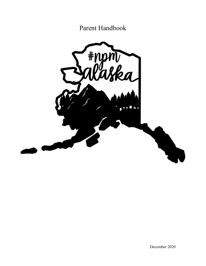Parent Handbook

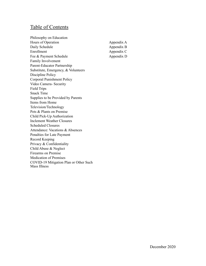# Table of Contents

Philosophy on Education Hours of Operation Daily Schedule Enrollment Fee & Payment Schedule Family Involvement Parent-Educator Partnership Substitute, Emergency, & Volunteers Discipline Policy Corporal Punishment Policy Video Camera- Security Field Trips Snack Time Supplies to be Provided by Parents Items from Home Television/Technology Pets & Plants on Premise Child Pick-Up Authorization Inclement Weather Closures Scheduled Closures Attendance: Vacations & Absences Penalties for Late Payment Record Keeping Privacy & Confidentiality Child Abuse & Neglect Firearms on Premise Medication of Premises COVID-19 Mitigation Plan or Other Such Mass Illness

Appendix A Appendix B Appendix C Appendix D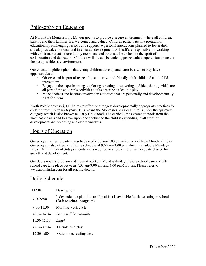### Philosophy on Education

At North Pole Montessori, LLC, our goal is to provide a secure environment where all children, parents and their families feel welcomed and valued. Children participate in a program of educationally challenging lessons and supportive personal interactions planned to foster their social, physical, emotional and intellectual development. All staff are responsible for working with children, parents, there family members, and other staff members in the spirit of collaboration and dedication. Children will always be under approved adult supervision to ensure the best possible safe environment.

Our education philosophy is that young children develop and learn best when they have opportunities to:

- Observe and be part of respectful, supportive and friendly adult-child and child-child interactions
- Engage in the experimenting, exploring, creating, discovering and idea-sharing which are all part of the children's activities adults describe as 'child's play'
- Make choices and become involved in activities that are personally and developmentally right for them

North Pole Montessori, LLC aims to offer the strongest developmentally appropriate practices for children from 2.5 years-6 years. This means the Montessori curriculum falls under the "primary" category which is also known as Early Childhood. The curriculum is geared to work from the most basic skills and to grow upon one another so the child is expanding in all areas of development and becoming a leader themselves.

# Hours of Operation

Our program offers a part-time schedule of 9:00 am-1:00 pm which is available Monday-Friday. Our program also offers a full-time schedule of 9:00 am-3:00 pm which is available Monday-Friday. A minimum of 3-days attendance is required to allow children an adequate chance for growth and development.

Our doors open at 7:00 am and close at 5:30 pm Monday-Friday. Before school care and after school care take place between 7:00 am-9:00 am and 3:00 pm-5:30 pm. Please refer to www.npmalaska.com for all pricing details.

#### Daily Schedule

| <b>TIME</b>     | <b>Description</b>                                                                                       |
|-----------------|----------------------------------------------------------------------------------------------------------|
| $7:00-9:00$     | Independent exploration and breakfast is available for those eating at school<br>(Before school program) |
| $9:00-11:30$    | Morning work cycle                                                                                       |
| $10:00 - 10:30$ | Snack will be available                                                                                  |
| $11:30-12:00$   | Lunch                                                                                                    |
| $12:00 - 12:30$ | Outside free play                                                                                        |
| $12:30-1:00$    | Quiet time, reading time                                                                                 |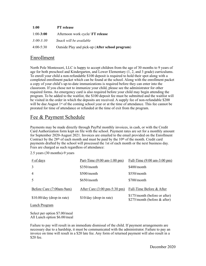| <b>1:00</b>   | <b>PT</b> release                               |
|---------------|-------------------------------------------------|
| $1:00 - 3:00$ | Afternoon work cycle/ FT release                |
| $3:00 - 3:30$ | Snack will be available                         |
| $4:00-5:30$   | Outside Play and pick-up (After school program) |

### Enrollment

North Pole Montessori, LLC is happy to accept children from the age of 30 months to 9 years of age for both preschool and Kindergarten, and Lower Elementary (1, 2, and 3 grade) curriculums. To enroll your child a non-refundable \$100 deposit is required to hold their spot along with a completed enrollment packet which can be found at the school. Along with the enrollment packet a copy of your child's up-to-date immunizations is required before they can enter into the classroom. If you chose not to immunize your child, please see the administrator for other required forms. An emergency card is also required before your child may begin attending the program. To be added to the waitlist, the \$100 deposit fee must be submitted and the waitlist will be visited in the order in which the deposits are received. A supply fee of non-refundable \$200 will be due August 1<sup>st</sup> of the coming school year or at the time of attendance. This fee cannot be prorated for time of attendance or refunded at the time of exit from the program.

# Fee & Payment Schedule

Payments may be made directly through PayPal monthly invoices, in cash, or with the Credit Card Authorization form kept on file with the school. Payment rates are set for a monthly amount for September 2020-August 2021. Invoices are emailed to the email provided on the Enrollment Contract by the  $28<sup>th</sup>$  of each month and must be paid by the  $10<sup>th</sup>$  of the month. Credit card payments drafted by the school will processed the 1st of each month or the next business day. Fees are charged as such regardless of attendance:

| $#$ of days                 | Part-Time $(9:00 \text{ am-}1:00 \text{ pm})$  | Full-Time $(9:00 \text{ am}-3:00 \text{ pm})$                  |
|-----------------------------|------------------------------------------------|----------------------------------------------------------------|
| 3                           | $$350/m$ onth                                  | \$400/month                                                    |
| $\overline{4}$              | $$500/m$ onth                                  | $$550/m$ onth                                                  |
| 5                           | $$650/m$ onth                                  | $$700/m$ onth                                                  |
| Before Care (7:00am-9am)    | After Care $(3:00 \text{ pm}-5:30 \text{ pm})$ | Full-Time Before & After                                       |
| $$10.00/day$ (drop-in rate) | \$10/day (drop-in rate)                        | \$175/month (before or after)<br>$$275/month$ (before & after) |
| Lunch Program               |                                                |                                                                |

2.5 years (30 months)-9 years

Select per option \$7.00/meal All Lunch option \$6.00/meal

Failure to pay will result in an immediate dismissal of the child. If payment arrangements are necessary due to a hardship, it must be communicated with the administrator. Failure to pay an invoice on time will result in a \$20 late fee. Any form of returned payment will also result in a \$20 fee.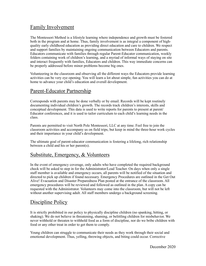# Family Involvement

The Montessori Method is a lifestyle learning where independence and growth must be fostered both in the program and at home. Thus, family involvement is as integral a component of highquality early childhood education as providing direct education and care to children. We respect and support families by maintaining ongoing communication between Educators and parents. Educators communicate with families through regular Parent-Educator communication, weekly folders containing work of children's learning, and a myriad of informal ways of staying on site and interact frequently with families, Educators and children. This way immediate concerns can be properly addressed before minor problems become big ones.

Volunteering in the classroom and observing all the different ways the Educators provide learning activities can be very eye opening. You will learn a lot about simple, fun activities you can do at home to advance your child's education and overall development.

### Parent-Educator Partnership

Corresponds with parents may be done verbally or by email. Records will be kept routinely documenting individual children's growth. The records track children's interests, skills and conceptual development. This data is used to write reports for parents to present at parent/ Educator conferences, and it is used to tailor curriculum to each child's learning needs in the class.

Parents are permitted to visit North Pole Montessori, LLC at any time. Feel free to join the classroom activities and accompany us on field trips, but keep in mind the three-hour work cycles and their importance in your child's development.

The ultimate goal of parent-educator communication is fostering a lifelong, rich relationship between a child and his or her parent(s).

### Substitute, Emergency, & Volunteers

In the event of emergency coverage, only adults who have completed the required background check will be asked to step in for the Administrator/Lead Teacher. On days when only a single staff member is available and emergency occurs, all parents will be notified of the situation and directed to pick up children if found necessary. Emergency Procedures are outlined in the Get Out Alive! Evacuation and Disaster Preparedness Plan posted at the entrance of the classroom. All emergency procedures will be reviewed and followed as outlined in the plan. A copy can be requested with the Administrator. Volunteers may come into the classroom, but will not be left without another supervising adult. All staff members undergo a background screening.

# Discipline Policy

It is strictly prohibited in our policy to physically discipline children (no spanking, hitting, or shaking). We do not believe in threatening, shaming, or belittling children for misbehavior. We never withhold or threaten to withhold food as a form of discipline, nor do we bribe children with food or any other treat in order to get them to comply.

Young children can struggle to communicate their needs as they work through their social and emotional development. Thus, yelling, throwing objects, and biting could occur. Corrective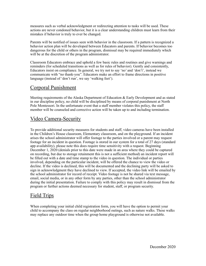measures such as verbal acknowledgment or redirecting attention to tasks will be used. These actions are never condoned behavior, but it is a clear understanding children must learn from their mistakes if behavior is truly to ever be changed.

Parents will be notified of issues seen with behavior in the classroom. If a pattern is recognized a behavior action plan will be developed between Educators and parents. If behavior becomes too dangerous for the child or others in the program, dismissal may be required immediately which will be at the discretion of the program administrator.

Classroom Educators embrace and uphold a few basic rules and routines and give warnings and reminders (for scheduled transitions as well as for rules of behavior). Gently and consistently, Educators insist on compliance. In general, we try not to say 'no' and 'don't', instead we communicate with "no thank-you". Educators make an effort to frame directions in positive language (instead of 'don't run', we say 'walking feet').

# Corporal Punishment

Meeting requirements of the Alaska Department of Education & Early Development and as stated in our discipline policy, no child will be disciplined by means of corporal punishment at North Pole Montessori. In the unfortunate event that a staff member violates this policy, the staff member will be counseled and corrective action will be taken up to and including termination.

# Video Camera-Security

To provide additional security measures for students and staff, video cameras have been installed in the Children's House classroom, Elementary classroom, and on the playground. If an incident arises the school administrator will offer footage to the parties involved or a parent may request footage for an incident in question. Footage is stored in our system for a total of 27 days (standard app availability), please note this does require time sensitivity with a request. Beginning December 1, 2020 (denials prior to this date were made in an area where they could be captured on recording, but due to storage retainment this is not a sufficient method) an incident report will be filled out with a date and time stamp to the video in question. The individual or parties involved, depending on the particular incident, will be offered the chance to view the video or decline. If the video is declined, this will be documented and the declining party will be asked to sign in acknowledgment they have declined to view. If accepted, the video link will be emailed by the school administrator for record of receipt. Video footage is not be shared via text message, email, social media, or in any other form by any parties, other than the school administrator during the initial presentation. Failure to comply with this policy may result in dismissal from the program or further actions deemed necessary for student, staff, or program security.

# Field Trips

When completing your initial child registration form, you will have the option to permit your child to accompany the class on regular neighborhood outings, such as nature walks. These walks may replace any outdoor time when the group home playground is otherwise not available.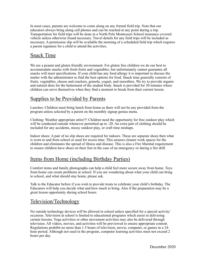In most cases, parents are welcome to come along on any formal field trip. Note that our educators always bring along cell phones and can be reached at any point during a trip. Transportation for field trips will be done in a North Pole Montessori School insurance covered vehicle unless otherwise found necessary. Travel details for any field trips will be included as necessary. A permission slip will be available the morning of a scheduled field trip which requires a parent signature for a child to attend the activities.

# Snack Time

We are a peanut and gluten friendly environment. For gluten free children we do our best to accommodate snacks with fresh fruits and vegetables, but unfortunately cannot guarantee all snacks will meet specifications. If your child has any food allergy it is important to discuss the matter with the administrator to find the best options for food. Snack time generally consists of fruits, vegetables, cheese and crackers, granola, yogurt, and smoothies. We try to provide organic and natural diets for the betterment of the student body. Snack is provided for 30 minutes where children can serve themselves when they find a moment to break from their current lesson.

# Supplies to be Provided by Parents

Lunches: Children must bring lunch from home as there will not be any provided from the program unless selected by a parent on the monthly signup genius menu.

Clothing: Weather appropriate attire!!! Children need the opportunity for free outdoor play which will be conducted outside whenever permitted up to -20. An extra pair of clothing should be included for any accidents, messy outdoor play, or craft time mishaps.

Indoor shoes: A pair of no slip shoes are required for indoors. These are separate shoes then what is worn to and from school or used for recess time. This ensures cleaner work spaces for the children and eliminates the spread of illness and disease. This is also a Fire Marshal requirement to ensure children have shoes on their feet in the case of an emergency or during a fire drill.

### Items from Home (including Birthday Parties)

Comfort items and family photographs can help a child feel more secure away from home. Toys from home can create problems at school. If you are wondering about what your child can bring to school, and what should stay home, please ask.

Talk to the Educator before if you wish to provide treats to celebrate your child's birthday. The Educators will help you decide what and how much to bring. Also if the preparation may be a great lesson opportunity during school hours.

### Television/Technology

No outside technology devices will be allowed in school unless specified for a special activity/ occasion. Television at school is limited to educational programs which assist in delivering certain lessons. Yoga activities or other movement activities may also be delivered through television. All videos, movies, and activities will be previewed to ensure appropriate content. Regulations prohibit no more than 1.5 hours of television, movie, computer, or games in a 24 hour period. Although not used in the program, computer learning activities must not exceed 2 hours per day.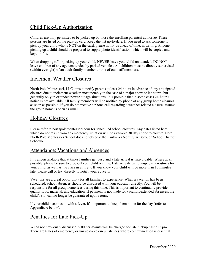# Child Pick-Up Authorization

Children are only permitted to be picked up by those the enrolling parent(s) authorize. These persons are listed on the pick-up card. Keep the list up-to-date. If you need to ask someone to pick up your child who is NOT on the card, please notify us ahead of time, in writing. Anyone picking up a child should be prepared to supply photo identification, which will be copied and kept on file.

When dropping off or picking up your child, NEVER leave your child unattended. DO NOT leave children of any age unattended by parked vehicles. All children must be directly supervised (within eyesight) of an adult family member or one of our staff members.

#### Inclement Weather Closures

North Pole Montessori, LLC aims to notify parents at least 24 hours in advance of any anticipated closures due to inclement weather, most notably in the case of a major snow or ice storm, but generally only in extended power outage situations. It is possible that in some cases 24-hour's notice is not available. All family members will be notified by phone of any group home closures as soon as possible. If you do not receive a phone call regarding a weather related closure, assume the group home is open as usual.

### Holiday Closures

Please refer to northpolemontessori.com for scheduled school closures. Any dates listed here which do not result from an emergency situation will be available 30 days prior to closure. Note North Pole Montessori School does not observe the Fairbanks North Star Borough School District Schedule.

### Attendance: Vacations and Absences

It is understandable that at times families get busy and a late arrival is unavoidable. Where at all possible, please be sure to drop-off your child on time. Late arrivals can disrupt daily routines for your child, as well as the class in entirety. If you know your child will be more than 15 minutes late, please call or text directly to notify your educator.

Vacations are a great opportunity for all families to experience. When a vacation has been scheduled, school absences should be discussed with your educator directly. You will be responsible for all group home fees during this time. This is important to continually provide quality food, material, and education. If payment is not made for vacation/extended absences, the child's slot can no longer be guaranteed upon return.

If your child becomes ill with a fever, it's important to keep them home for the day (refer to Appendix A below).

# Penalties for Late Pick-Up

When not previously discussed, 5.00 per minute will be charged for late pickup past 5:05pm. There are times of emergency or unavoidable circumstances where communication is essential!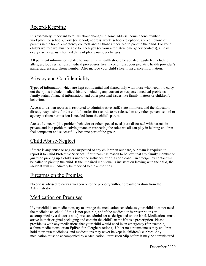### Record-Keeping

It is extremely important to tell us about changes in home address, home phone number, workplace (or school), work (or school) address, work (school) telephone, and cell phone of parents in the home, emergency contacts and all those authorized to pick up the child. For your child's welfare we must be able to reach you (or your alternative emergency contacts), all day, every day. Keep us informed daily of phone number changes.

All pertinent information related to your child's health should be updated regularly, including allergies, food restrictions, medical procedures, health conditions, your pediatric health provider's name, address and phone number. Also include your child's health insurance information.

# Privacy and Confidentiality

Types of information which are kept confidential and shared only with those who need it to carry out their jobs include: medical history including any current or suspected medical problems; family status; financial information; and other personal issues like family matters or children's behaviors.

Access to written records is restricted to administrative staff, state monitors, and the Educators directly responsible for the child. In order for records to be released to any other person, school or agency, written permission is needed from the child's parent.

Areas of concern (like problem behavior or other special needs) are discussed with parents in private and in a problem-solving manner, respecting the roles we all can play in helping children feel competent and successfully become part of the group.

### Child Abuse/Neglect

If there is any abuse or neglect suspected of any children in our care, our team is required to report it to Child Protective Services. If our team has reason to believe that any family member or guardian picking up a child is under the influence of drugs or alcohol, an emergency contact will be called to pick up the child. If the impaired individual is insistent on leaving with the child, the incident will immediately be reported to the authorities.

### Firearms on the Premise

No one is advised to carry a weapon onto the property without preauthorization from the Administrator.

### Medication on Premises

If your child is on medication, try to arrange the medication schedule so your child does not need the medicine at school. If this is not possible, and if the medication is prescription (or accompanied by a doctor's note), we can administer as designated on the label. Medications must arrive in their original packaging and contain the child's name if it is a prescription. Please provide us with any medications that your child would need in an emergency (for example, asthma medications, or an EpiPen for allergic reactions). Under no circumstances may children hold their own medicines, and medications may never be kept in children's cubbies. Any medication must be accompanied by a Medication Permission Slip before it may be administered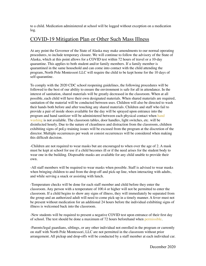to a child. Medication administered at school will be logged without exception on a medication log.

### COVID-19 Mitigation Plan or Other Such Mass Illness

At any point the Governor of the State of Alaska may make amendments to our normal operating procedures, to include temporary closure. We will continue to follow the advisory of the State of Alaska, which at this point allows for a COVID test within 72 hours of travel or a 10-day quarantine. This applies to both student and/or family members. If a family member is quarantined in the same household and can come into contact with the child attending the program, North Pole Montessori LLC will require the child to be kept home for the 10 days of self-quarantine.

To comply with the 2020 CDC school reopening guidelines, the following procedures will be followed to the best of our ability to ensure the environment is safe for all in attendance. In the interest of sanitation, shared materials will be greatly decreased in the classroom. When at all possible, each child will have their own designated materials. When shared materials are required, sanitation of the material will be conducted between uses. Children will also be directed to wash their hands both before and after touching any shared materials. Children and staff who fail to provide a pair of inside shoes available for the day will be sprayed upon entrance into the program and hand sanitizer will be administered between each physical contact when hand washing is not available. The classroom tables, door handles, light switches, etc. will be disinfected hourly. Due to the nature of cleanliness and distraction from the classroom, children exhibiting signs of poLy-training issues will be excused from the program at the discretion of the director. Multiple occurrences per week or consist occurrences will be considered when making this difficult decision.

-Children are not required to wear masks but are encouraged to when over the age of 2. A mask must be kept at school for use if a child becomes ill or if the need arises for the student body to wear one in the building. Disposable masks are available for any child unable to provide their own.

-All staff members will be required to wear masks when possible. Staff is advised to wear masks when bringing children to and from the drop-off and pick-up line, when interacting with adults, and while serving a snack or assisting with lunch.

-Temperature checks will be done for each staff member and child before they enter the classroom. Any person with a temperature of 100.4 or higher will not be permitted to enter the classroom. If a child begins to show any signs of illness, they will immediately be separated from the group and an authorized adult will need to come pick-up in a timely manner. A fever must not be present without medication for an additional 24 hours before the individual exhibiting signs of illness is welcomed back into the classroom.

-New students will be required to present a negative COVID test upon entrance of their first day of school. The test should be done a maximum of 72 hours beforehand when permissible.

-Parents/legal guardians, siblings, or any other individual not enrolled in the program or currently on staff with North Pole Montessori, LLC are not permitted in the classroom without prior arrangement. All pickup and drop-offs will be conducted by a staff member at each individual car.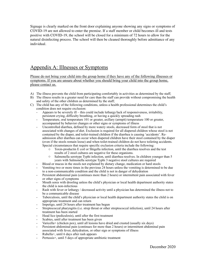Signage is clearly marked on the front door explaining anyone showing any signs or symptoms of COVID-19 are not allowed to enter the premise. If a staff member or child becomes ill and tests positive with COVID-19, the school will be closed for a minimum of 72 hours to allow for the natural disinfecting process. The school will then be cleaned thoroughly before admittance of any individual.

## Appendix A: Illnesses or Symptoms

Please do not bring your child into the group home if they have any of the following illnesses or symptoms. If you are unsure about whether you should bring your child into the group home, please contact us.

- A) The illness prevents the child from participating comfortably in activities as determined by the staff;
- B) The illness results in a greater need for care than the staff can provide without compromising the health and safety of the other children as determined by the staff;
- C) The child has any of the following conditions, unless a health professional determines the child's condition does not require exclusion:
	- Appears to be severely ill this could include lethargy/lack of responsiveness, irritability, persistent crying, difficulty breathing, or having a quickly spreading rash
	- Temperature, oral temperature 101 or greater, axillary (armpit) temperature 100 or greater, accompanied by behavior changes or other signs or symptoms of illness
	- Uncontrolled diarrhea, defined by more watery stools, decreased form of stool that is not associated with changes of diet. Exclusion is required for all diapered children whose stool is not contained by the diaper, and toilet-trained children if the diarrhea is causing 'accidents'. Readmission after diarrhea can occur when diapered children have their stool contained by the diaper (even if the stools remain loose) and when toilet-trained children do not have toileting accidents. Special circumstances that require specific exclusion criteria include the following:
		- o Toxin-productin E coil or Shigella infection, until the diarrhea resolves and the test results of 2 stool cultures are negative for these organisms.
		- o Salmonella serotype Typhi infection, until diarrhea resolves. In children younger than 5 years with Salmonella serotype Typhi 3 negative stool cultures are required
		- Blood or mucus in the stools not explained by dietary change, medication or hard stools
	- Vomiting two or more times in the previous 24 hours unless the vomiting is determined to be due to a non-communicable condition and the child is not in danger of dehydration
	- Persistent abdominal pain (continues more than 2 hours) or intermittent pain associated with fever or other signs of symptoms
	- Mouth sores with drooling unless the child's physician or local health department authority states the child is non-infectious
	- Rash with fever or lethargy / decreased activity until a physician has determined the illness not to be a communicable disease
	- Tuberculosis, until the child's physician or local health department authority states the child is on appropriate treatment and can return
	- Impetigo, until 24 hours after treatment has begun
	- Streptococcal pharyngitis (i.e. strep throat or other streptococcal infection), until 24 hours after treatment has been started
	- Head lice (pediculosis), until after the first treatment
	- Scabies, until after treatment has been given
	- Varicella+ (chicken pox), until all lesions have dried and crusted (usually six days)
	- Persistent abdominal pain (continues for more than 2 hours) or intermittent abdominal pain associated with fever, dehydration, or other sign or symptoms of illness
	- Rubella+, until 6 days after rash appears
	- Pertussis+, until 5 days of appropriate antibiotic treatment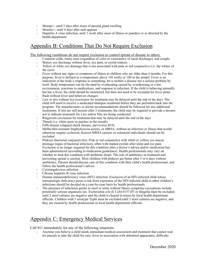- Mumps+, until 5 days after onset of parotid gland swelling
- Measles+, until 4 days after rash appears
- Hepatitis A virus infection, until 1 week after onset of illness or jaundice or as directed by the health department

# Appendix B: Conditions That Do Not Require Exclusion

The following conditions do not require exclusion to control spread of disease to others.

- Common colds, runny nose (regardless of color or consistency of nasal discharge), and coughs
- Watery eye discharge without fever, eye pain, or eyelid redness
- Yellow or white eye drainage that is not associated with pink or red conjunctiva (i.e. the whites of the eyes)
- Fever without any signs or symptoms of illness in children who are older than 4 months. For this purpose, fever is defined as a temperature above 101 orally or 100 in the armpit. Fever is an indication of the body's response to something, bit is neither a disease nor a serious problem by itself. Body temperature can be elevated by overheating caused by overdressing or a hot environment, reactions to medications, and response to infection. If the child is behaving normally but has a fever, the child should be monitored, but does not need to be excluded for fever alone
- Rash without fever and behavior changes
- Lice or nits without lice (exclusion for treatment may be delayed until the end of the day). The child will need to receive a medicated shampoo treatment before they are permitted back into the program. The manufacturers or doctor recommendations should be followed for any additional treatments. If nits are still present after 2 treatments, the child may be required to provide a doctors not to indicate treatment for Lice and/or Nits are being conducted.
- Ringworm (exclusion for treatment that may be delayed until the end of the day)
- Thrush (i.e. white spots or patches in the mouth)
- Fifth disease (slapped cheek disease, parvovirus B19)
- Methicillin-resistant Staphylococus aureus, or MRSA, without an infection or illness that would otherwise require exclusion. Known MRSA carriers or colonized individuals should not be excluded
- Pinkeye (bacterial conjunctivitis). Pink or red conjunctiva with white or yellow eye mucus drainage (signs of bacterial infection), often with matted eyelids after sleep and eye pain. Exclusion is no longer required for this condition after a doctor's advice and/or medication has been administered (according to medication guidelines). Health professionals may vary on whether to treat this condition with antibiotic drops. The role of antibiotics in treatment and preventing spread is unclear. Most children with pinkeye get better after 5 or 6 days without antibiotics. Parents should discuss care of this condition with their child's health professional, and follow the health professional's advice.
- Cytomegalovirus infection
- Chronic hepatitis B virus infection
- Human immunodeficiency virus (HIV) infection. Exclusion of an HIV-infected child whose immunologic deficiency poses a risk from exposures of the HIV-infected child to other children's infections should be decided on a case-by-case basis by health professionals
- The presence of infectious germs in stool or urine without illness symptoms (exceptions include potentially serious organisms [ex. Escherichia coli (E Colt) 0157:H7 or Shigella must be excluded until 2 stool cultures are negative and the child is cleared to return by local health department officials. Children with 5 serotype Typhi must be excluded until 3 stool cultures are negative, and they are cleared by health professional or local health department officials

### Appendix C: Emergency Medical Services

Call 911 immediately for any of the following situations:

- Anytime you believe a child needs immediate medical assessment and treatment that cannot wait for parents to take the child for care; fever in association with abnormal appearance, difficulty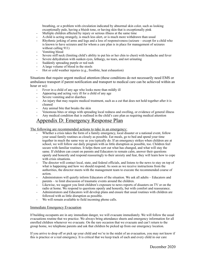breathing, or a problem with circulation indicated by abnormal skin color, such as looking exceptionally pale, having a bluish tone, or having skin that is exceptionally pink

- Multiple children affected by injury or serious illness at the same time
- A child is acting strangely, is much less alert, or is much more withdrawn than usual
- Rhythmic jerking of arms and legs and a loss of responsiveness (seizure except for a child who is known to have seizures and for whom a care plan is in place for management of seizures without calling 911)
- Vomiting blood
- Severe stiff neck (limiting child's ability to put his or her chin to chest) with headache and fever
- Severe dehydration with sunken eyes, lethargy, no tears, and not urinating
- Suddenly spreading purple or red rash
- A large volume of blood in the stools
- Hot or cold weather injuries (e.g., frostbite, heat exhaustion)

Situations that require urgent medical attention (these conditions do not necessarily need EMS or ambulance transport if parent notification and transport to medical care can be achieved within an hour or so):

- Fever in a child of any age who looks more than mildly ill
- Appearing and acting very ill for a child of any age
- Severe vomiting and/or diarrhea
- An injury that may require medical treatment, such as a cut that does not hold together after it is cleaned
- Any animal bite that breaks the skin
- Venomous bites or stings with spreading local redness and swelling, or evidence of general illness
- Any medical condition that is outlined in the child's care plan as requiring medical attention

#### Appendix D: Emergency Response Plan

The following are recommended actions to take in an emergency:

- Whether a crisis takes the form of a family emergency, local disaster or a national event, follow your usual family routines as closely as possible. Eat meals, go to bed and spend your time together in much the same way as you typically do. If an emergency strikes when children are at school, we will follow our daily program with as little disruption as possible, too. Children feel secure with familiar routines. It helps them sort out what has changed, and what will stay the same. If children can count on parents and Educators to remain calm, answer their questions openly and honestly and respond reassuringly to their anxiety and fear, they will learn how to cope with crisis situations.
- The director will contact local, state, and federal officials, and listens to the news to stay on top of what is happening and how we should respond. As soon as we receive instructions from the authorities, the director meets with the management team to execute the recommended course of action.
- Administrators will quietly inform Educators of the situation. We ask all adults Educators and parents – to limit discussion of traumatic events around the children.
- Likewise, we suggest you limit children's exposure to news reports of disasters on TV or on the radio at home. We respond to questions openly and honestly, but with comfort and reassurance.
- Administrators and Educators will develop plans and ensure that usual routines with children are followed with as little disruption as possible.
- We will remain available to field incoming phone calls.

#### Immediate Emergency Evacuation

If building occupants are in any immediate danger, we will evacuate immediately. We will follow the usual evacuations routine that we practice. We always bring attendance sheets and emergency information for all enrolled children whenever we evacuate. On the rare occasion that we evacuate and can't return to the group home, we telephone parents and ask that children be picked up from our emergency location.

If you arrive to drop off or pick up your child and we're in the midst of an evacuation, you may not know if this is practice or a real emergency. It is critical that we keep track of each and every child in our care